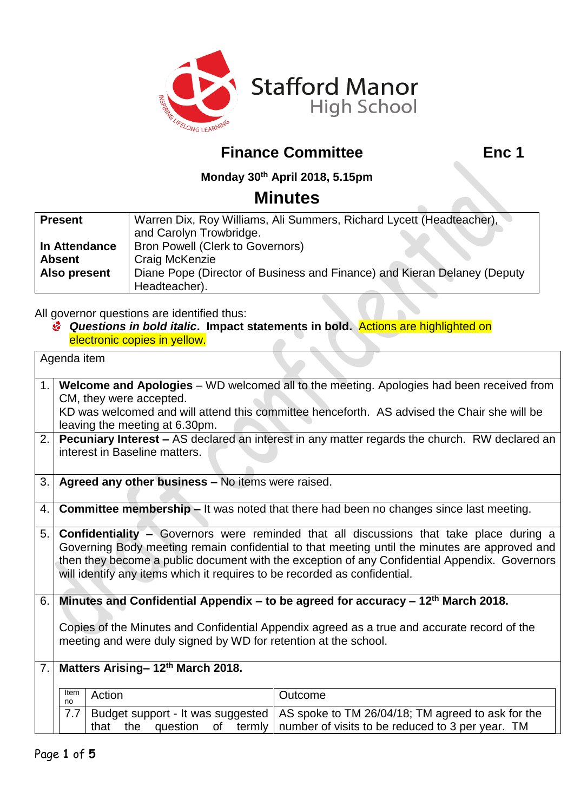

## **Finance Committee Finance Committee Enc 1**

 $\blacksquare$ 

**Monday 30th April 2018, 5.15pm**

## **Minutes**

| <b>Present</b> | Warren Dix, Roy Williams, Ali Summers, Richard Lycett (Headteacher),     |  |  |
|----------------|--------------------------------------------------------------------------|--|--|
|                | and Carolyn Trowbridge.                                                  |  |  |
| In Attendance  | <b>Bron Powell (Clerk to Governors)</b>                                  |  |  |
| <b>Absent</b>  | Craig McKenzie                                                           |  |  |
| Also present   | Diane Pope (Director of Business and Finance) and Kieran Delaney (Deputy |  |  |
|                | Headteacher).                                                            |  |  |

All governor questions are identified thus:

*Questions in bold italic***. Impact statements in bold.** Actions are highlighted on electronic copies in yellow.

| Agenda item |                                                                                                                                                                                                                                                                                                                                                                               |        |                                                                                                                                                                         |  |  |  |
|-------------|-------------------------------------------------------------------------------------------------------------------------------------------------------------------------------------------------------------------------------------------------------------------------------------------------------------------------------------------------------------------------------|--------|-------------------------------------------------------------------------------------------------------------------------------------------------------------------------|--|--|--|
| 1.1         | Welcome and Apologies - WD welcomed all to the meeting. Apologies had been received from<br>CM, they were accepted.<br>KD was welcomed and will attend this committee henceforth. AS advised the Chair she will be<br>leaving the meeting at 6.30pm.<br>2. <b>Pecuniary Interest –</b> AS declared an interest in any matter regards the church. RW declared an               |        |                                                                                                                                                                         |  |  |  |
|             | interest in Baseline matters.                                                                                                                                                                                                                                                                                                                                                 |        |                                                                                                                                                                         |  |  |  |
| 3.1         | Agreed any other business - No items were raised.                                                                                                                                                                                                                                                                                                                             |        |                                                                                                                                                                         |  |  |  |
| 4.          | <b>Committee membership – It was noted that there had been no changes since last meeting.</b>                                                                                                                                                                                                                                                                                 |        |                                                                                                                                                                         |  |  |  |
| 5.1         | <b>Confidentiality -</b> Governors were reminded that all discussions that take place during a<br>Governing Body meeting remain confidential to that meeting until the minutes are approved and<br>then they become a public document with the exception of any Confidential Appendix. Governors<br>will identify any items which it requires to be recorded as confidential. |        |                                                                                                                                                                         |  |  |  |
| 6.1         | Minutes and Confidential Appendix – to be agreed for accuracy – $12th$ March 2018.                                                                                                                                                                                                                                                                                            |        |                                                                                                                                                                         |  |  |  |
|             | Copies of the Minutes and Confidential Appendix agreed as a true and accurate record of the<br>meeting and were duly signed by WD for retention at the school.                                                                                                                                                                                                                |        |                                                                                                                                                                         |  |  |  |
|             | 7. Matters Arising-12 <sup>th</sup> March 2018.                                                                                                                                                                                                                                                                                                                               |        |                                                                                                                                                                         |  |  |  |
|             | Item<br>no                                                                                                                                                                                                                                                                                                                                                                    | Action | Outcome                                                                                                                                                                 |  |  |  |
|             | 7.7                                                                                                                                                                                                                                                                                                                                                                           |        | Budget support - It was suggested   AS spoke to TM 26/04/18; TM agreed to ask for the<br>that the question of termly   number of visits to be reduced to 3 per year. TM |  |  |  |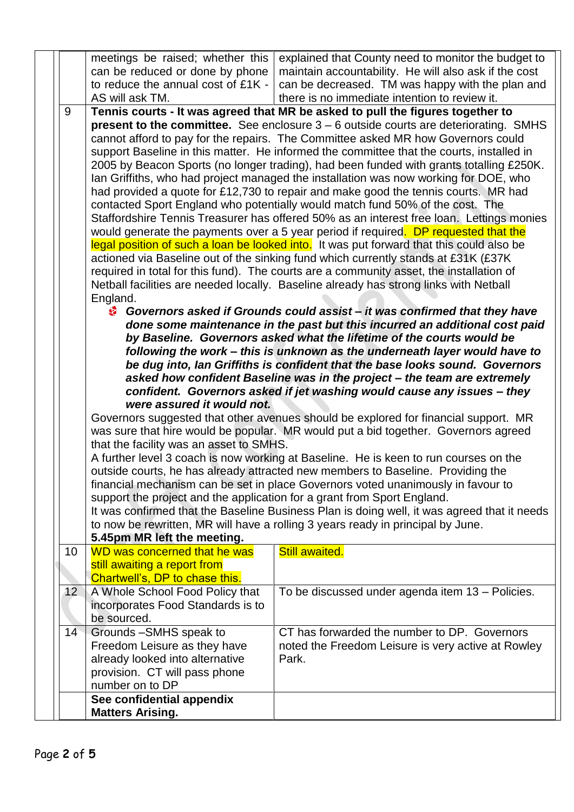|                 |    | meetings be raised; whether this                                                                                                                                                                                                                                                                                                                                                                                                                                                                                                                                                                                                                                                                                                                                                                                                                                                                                                                                                                                                                                                                                                                                                                                                                                                                                                                                                                                                                                                                                                                                                                                                                                                                                                                                                                                                                                                                                                                                                                                                                                                                                                                                                                                                                                                                                                                                                                                                                  | explained that County need to monitor the budget to                                                         |  |  |
|-----------------|----|---------------------------------------------------------------------------------------------------------------------------------------------------------------------------------------------------------------------------------------------------------------------------------------------------------------------------------------------------------------------------------------------------------------------------------------------------------------------------------------------------------------------------------------------------------------------------------------------------------------------------------------------------------------------------------------------------------------------------------------------------------------------------------------------------------------------------------------------------------------------------------------------------------------------------------------------------------------------------------------------------------------------------------------------------------------------------------------------------------------------------------------------------------------------------------------------------------------------------------------------------------------------------------------------------------------------------------------------------------------------------------------------------------------------------------------------------------------------------------------------------------------------------------------------------------------------------------------------------------------------------------------------------------------------------------------------------------------------------------------------------------------------------------------------------------------------------------------------------------------------------------------------------------------------------------------------------------------------------------------------------------------------------------------------------------------------------------------------------------------------------------------------------------------------------------------------------------------------------------------------------------------------------------------------------------------------------------------------------------------------------------------------------------------------------------------------------|-------------------------------------------------------------------------------------------------------------|--|--|
|                 |    | can be reduced or done by phone                                                                                                                                                                                                                                                                                                                                                                                                                                                                                                                                                                                                                                                                                                                                                                                                                                                                                                                                                                                                                                                                                                                                                                                                                                                                                                                                                                                                                                                                                                                                                                                                                                                                                                                                                                                                                                                                                                                                                                                                                                                                                                                                                                                                                                                                                                                                                                                                                   | maintain accountability. He will also ask if the cost                                                       |  |  |
|                 |    | to reduce the annual cost of £1K -                                                                                                                                                                                                                                                                                                                                                                                                                                                                                                                                                                                                                                                                                                                                                                                                                                                                                                                                                                                                                                                                                                                                                                                                                                                                                                                                                                                                                                                                                                                                                                                                                                                                                                                                                                                                                                                                                                                                                                                                                                                                                                                                                                                                                                                                                                                                                                                                                | can be decreased. TM was happy with the plan and                                                            |  |  |
|                 |    | AS will ask TM.                                                                                                                                                                                                                                                                                                                                                                                                                                                                                                                                                                                                                                                                                                                                                                                                                                                                                                                                                                                                                                                                                                                                                                                                                                                                                                                                                                                                                                                                                                                                                                                                                                                                                                                                                                                                                                                                                                                                                                                                                                                                                                                                                                                                                                                                                                                                                                                                                                   | there is no immediate intention to review it.                                                               |  |  |
|                 | 9  | Tennis courts - It was agreed that MR be asked to pull the figures together to<br>present to the committee. See enclosure $3 - 6$ outside courts are deteriorating. SMHS<br>cannot afford to pay for the repairs. The Committee asked MR how Governors could<br>support Baseline in this matter. He informed the committee that the courts, installed in<br>2005 by Beacon Sports (no longer trading), had been funded with grants totalling £250K.<br>Ian Griffiths, who had project managed the installation was now working for DOE, who<br>had provided a quote for £12,730 to repair and make good the tennis courts. MR had<br>contacted Sport England who potentially would match fund 50% of the cost. The<br>Staffordshire Tennis Treasurer has offered 50% as an interest free Ioan. Lettings monies<br>would generate the payments over a 5 year period if required. DP requested that the<br>legal position of such a loan be looked into. It was put forward that this could also be<br>actioned via Baseline out of the sinking fund which currently stands at £31K (£37K<br>required in total for this fund). The courts are a community asset, the installation of<br>Netball facilities are needed locally. Baseline already has strong links with Netball<br>England.<br>Governors asked if Grounds could assist – it was confirmed that they have<br>done some maintenance in the past but this incurred an additional cost paid<br>by Baseline. Governors asked what the lifetime of the courts would be<br>following the work - this is unknown as the underneath layer would have to<br>be dug into, Ian Griffiths is confident that the base looks sound. Governors<br>asked how confident Baseline was in the project - the team are extremely<br>confident. Governors asked if jet washing would cause any issues - they<br>were assured it would not.<br>Governors suggested that other avenues should be explored for financial support. MR<br>was sure that hire would be popular. MR would put a bid together. Governors agreed<br>that the facility was an asset to SMHS.<br>A further level 3 coach is now working at Baseline. He is keen to run courses on the<br>outside courts, he has already attracted new members to Baseline. Providing the<br>financial mechanism can be set in place Governors voted unanimously in favour to<br>support the project and the application for a grant from Sport England. |                                                                                                             |  |  |
|                 |    |                                                                                                                                                                                                                                                                                                                                                                                                                                                                                                                                                                                                                                                                                                                                                                                                                                                                                                                                                                                                                                                                                                                                                                                                                                                                                                                                                                                                                                                                                                                                                                                                                                                                                                                                                                                                                                                                                                                                                                                                                                                                                                                                                                                                                                                                                                                                                                                                                                                   | It was confirmed that the Baseline Business Plan is doing well, it was agreed that it needs                 |  |  |
|                 |    |                                                                                                                                                                                                                                                                                                                                                                                                                                                                                                                                                                                                                                                                                                                                                                                                                                                                                                                                                                                                                                                                                                                                                                                                                                                                                                                                                                                                                                                                                                                                                                                                                                                                                                                                                                                                                                                                                                                                                                                                                                                                                                                                                                                                                                                                                                                                                                                                                                                   | to now be rewritten, MR will have a rolling 3 years ready in principal by June.                             |  |  |
|                 |    | 5.45pm MR left the meeting.                                                                                                                                                                                                                                                                                                                                                                                                                                                                                                                                                                                                                                                                                                                                                                                                                                                                                                                                                                                                                                                                                                                                                                                                                                                                                                                                                                                                                                                                                                                                                                                                                                                                                                                                                                                                                                                                                                                                                                                                                                                                                                                                                                                                                                                                                                                                                                                                                       |                                                                                                             |  |  |
|                 | 10 | WD was concerned that he was                                                                                                                                                                                                                                                                                                                                                                                                                                                                                                                                                                                                                                                                                                                                                                                                                                                                                                                                                                                                                                                                                                                                                                                                                                                                                                                                                                                                                                                                                                                                                                                                                                                                                                                                                                                                                                                                                                                                                                                                                                                                                                                                                                                                                                                                                                                                                                                                                      | <b>Still awaited.</b>                                                                                       |  |  |
|                 |    | still awaiting a report from                                                                                                                                                                                                                                                                                                                                                                                                                                                                                                                                                                                                                                                                                                                                                                                                                                                                                                                                                                                                                                                                                                                                                                                                                                                                                                                                                                                                                                                                                                                                                                                                                                                                                                                                                                                                                                                                                                                                                                                                                                                                                                                                                                                                                                                                                                                                                                                                                      |                                                                                                             |  |  |
|                 |    | Chartwell's, DP to chase this.                                                                                                                                                                                                                                                                                                                                                                                                                                                                                                                                                                                                                                                                                                                                                                                                                                                                                                                                                                                                                                                                                                                                                                                                                                                                                                                                                                                                                                                                                                                                                                                                                                                                                                                                                                                                                                                                                                                                                                                                                                                                                                                                                                                                                                                                                                                                                                                                                    |                                                                                                             |  |  |
| 12 <sub>2</sub> |    | A Whole School Food Policy that<br>incorporates Food Standards is to<br>be sourced.                                                                                                                                                                                                                                                                                                                                                                                                                                                                                                                                                                                                                                                                                                                                                                                                                                                                                                                                                                                                                                                                                                                                                                                                                                                                                                                                                                                                                                                                                                                                                                                                                                                                                                                                                                                                                                                                                                                                                                                                                                                                                                                                                                                                                                                                                                                                                               | To be discussed under agenda item 13 - Policies.                                                            |  |  |
|                 | 14 | Grounds-SMHS speak to<br>Freedom Leisure as they have<br>already looked into alternative<br>provision. CT will pass phone<br>number on to DP                                                                                                                                                                                                                                                                                                                                                                                                                                                                                                                                                                                                                                                                                                                                                                                                                                                                                                                                                                                                                                                                                                                                                                                                                                                                                                                                                                                                                                                                                                                                                                                                                                                                                                                                                                                                                                                                                                                                                                                                                                                                                                                                                                                                                                                                                                      | CT has forwarded the number to DP. Governors<br>noted the Freedom Leisure is very active at Rowley<br>Park. |  |  |
|                 |    | See confidential appendix                                                                                                                                                                                                                                                                                                                                                                                                                                                                                                                                                                                                                                                                                                                                                                                                                                                                                                                                                                                                                                                                                                                                                                                                                                                                                                                                                                                                                                                                                                                                                                                                                                                                                                                                                                                                                                                                                                                                                                                                                                                                                                                                                                                                                                                                                                                                                                                                                         |                                                                                                             |  |  |
|                 |    | <b>Matters Arising.</b>                                                                                                                                                                                                                                                                                                                                                                                                                                                                                                                                                                                                                                                                                                                                                                                                                                                                                                                                                                                                                                                                                                                                                                                                                                                                                                                                                                                                                                                                                                                                                                                                                                                                                                                                                                                                                                                                                                                                                                                                                                                                                                                                                                                                                                                                                                                                                                                                                           |                                                                                                             |  |  |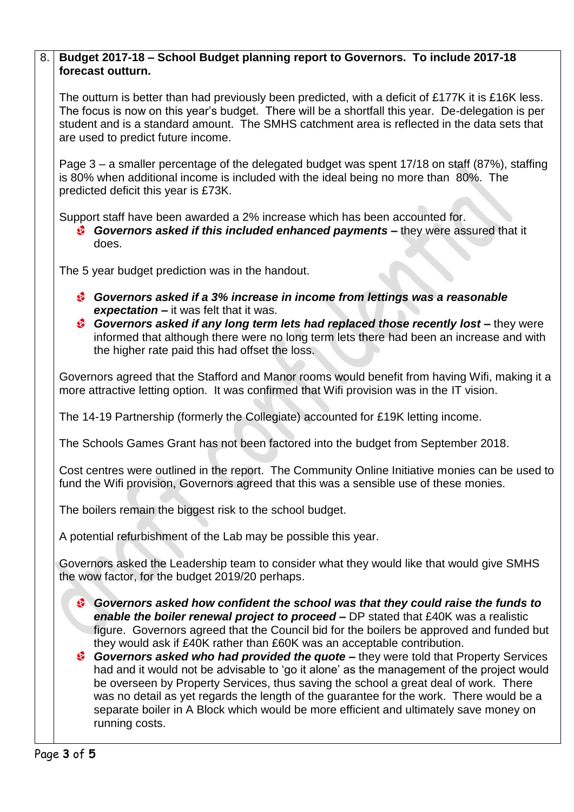### 8. **Budget 2017-18 – School Budget planning report to Governors. To include 2017-18 forecast outturn.**

The outturn is better than had previously been predicted, with a deficit of £177K it is £16K less. The focus is now on this year's budget. There will be a shortfall this year. De-delegation is per student and is a standard amount. The SMHS catchment area is reflected in the data sets that are used to predict future income.

Page 3 – a smaller percentage of the delegated budget was spent 17/18 on staff (87%), staffing is 80% when additional income is included with the ideal being no more than 80%. The predicted deficit this year is £73K.

Support staff have been awarded a 2% increase which has been accounted for.

*Governors asked if this included enhanced payments –* they were assured that it does.

The 5 year budget prediction was in the handout.

- *Governors asked if a 3% increase in income from lettings was a reasonable expectation –* it was felt that it was.
- *Governors asked if any long term lets had replaced those recently lost –* they were informed that although there were no long term lets there had been an increase and with the higher rate paid this had offset the loss.

Governors agreed that the Stafford and Manor rooms would benefit from having Wifi, making it a more attractive letting option. It was confirmed that Wifi provision was in the IT vision.

The 14-19 Partnership (formerly the Collegiate) accounted for £19K letting income.

The Schools Games Grant has not been factored into the budget from September 2018.

Cost centres were outlined in the report. The Community Online Initiative monies can be used to fund the Wifi provision, Governors agreed that this was a sensible use of these monies.

The boilers remain the biggest risk to the school budget.

A potential refurbishment of the Lab may be possible this year.

Governors asked the Leadership team to consider what they would like that would give SMHS the wow factor, for the budget 2019/20 perhaps.

- *Governors asked how confident the school was that they could raise the funds to enable the boiler renewal project to proceed –* DP stated that £40K was a realistic figure. Governors agreed that the Council bid for the boilers be approved and funded but they would ask if £40K rather than £60K was an acceptable contribution.
- *Governors asked who had provided the quote –* they were told that Property Services had and it would not be advisable to 'go it alone' as the management of the project would be overseen by Property Services, thus saving the school a great deal of work. There was no detail as yet regards the length of the guarantee for the work. There would be a separate boiler in A Block which would be more efficient and ultimately save money on running costs.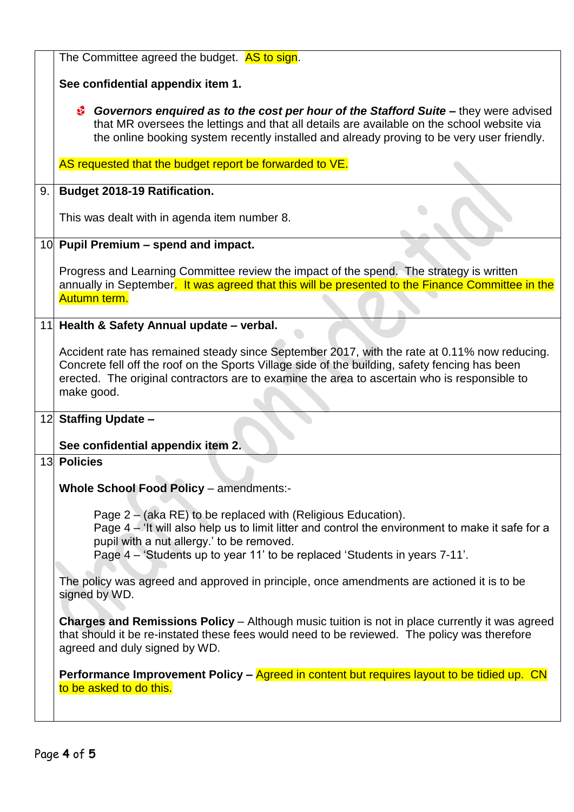|    | The Committee agreed the budget. AS to sign.                                                                                                                                                                                                                                                                 |  |  |  |  |
|----|--------------------------------------------------------------------------------------------------------------------------------------------------------------------------------------------------------------------------------------------------------------------------------------------------------------|--|--|--|--|
|    | See confidential appendix item 1.                                                                                                                                                                                                                                                                            |  |  |  |  |
|    | Governors enquired as to the cost per hour of the Stafford Suite – they were advised<br>⊛<br>that MR oversees the lettings and that all details are available on the school website via<br>the online booking system recently installed and already proving to be very user friendly.                        |  |  |  |  |
|    | AS requested that the budget report be forwarded to VE.                                                                                                                                                                                                                                                      |  |  |  |  |
| 9. | <b>Budget 2018-19 Ratification.</b>                                                                                                                                                                                                                                                                          |  |  |  |  |
|    | This was dealt with in agenda item number 8.                                                                                                                                                                                                                                                                 |  |  |  |  |
|    | 10 Pupil Premium - spend and impact.                                                                                                                                                                                                                                                                         |  |  |  |  |
|    | Progress and Learning Committee review the impact of the spend. The strategy is written<br>annually in September. It was agreed that this will be presented to the Finance Committee in the<br>Autumn term.                                                                                                  |  |  |  |  |
|    | 11 Health & Safety Annual update - verbal.                                                                                                                                                                                                                                                                   |  |  |  |  |
|    | Accident rate has remained steady since September 2017, with the rate at 0.11% now reducing.<br>Concrete fell off the roof on the Sports Village side of the building, safety fencing has been<br>erected. The original contractors are to examine the area to ascertain who is responsible to<br>make good. |  |  |  |  |
|    | 12 Staffing Update -                                                                                                                                                                                                                                                                                         |  |  |  |  |
| 13 | See confidential appendix item 2.<br><b>Policies</b>                                                                                                                                                                                                                                                         |  |  |  |  |
|    |                                                                                                                                                                                                                                                                                                              |  |  |  |  |
|    | <b>Whole School Food Policy - amendments:-</b>                                                                                                                                                                                                                                                               |  |  |  |  |
|    | Page 2 – (aka RE) to be replaced with (Religious Education).<br>Page $4 -$ 'It will also help us to limit litter and control the environment to make it safe for a<br>pupil with a nut allergy.' to be removed.<br>Page 4 – 'Students up to year 11' to be replaced 'Students in years 7-11'.                |  |  |  |  |
|    | The policy was agreed and approved in principle, once amendments are actioned it is to be<br>signed by WD.                                                                                                                                                                                                   |  |  |  |  |
|    | <b>Charges and Remissions Policy</b> – Although music tuition is not in place currently it was agreed<br>that should it be re-instated these fees would need to be reviewed. The policy was therefore<br>agreed and duly signed by WD.                                                                       |  |  |  |  |
|    | Performance Improvement Policy – Agreed in content but requires layout to be tidied up. CN<br>to be asked to do this.                                                                                                                                                                                        |  |  |  |  |